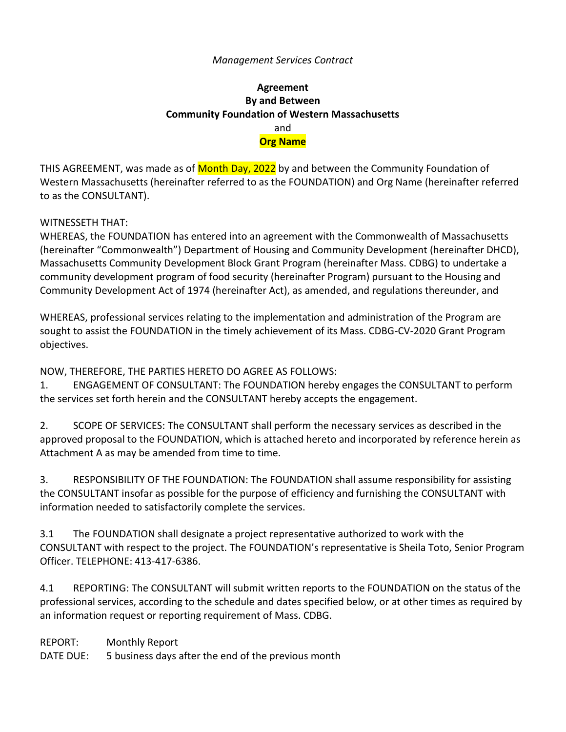### *Management Services Contract*

# **Agreement By and Between Community Foundation of Western Massachusetts** and **Org Name**

THIS AGREEMENT, was made as of **Month Day, 2022** by and between the Community Foundation of Western Massachusetts (hereinafter referred to as the FOUNDATION) and Org Name (hereinafter referred to as the CONSULTANT).

### WITNESSETH THAT:

WHEREAS, the FOUNDATION has entered into an agreement with the Commonwealth of Massachusetts (hereinafter "Commonwealth") Department of Housing and Community Development (hereinafter DHCD), Massachusetts Community Development Block Grant Program (hereinafter Mass. CDBG) to undertake a community development program of food security (hereinafter Program) pursuant to the Housing and Community Development Act of 1974 (hereinafter Act), as amended, and regulations thereunder, and

WHEREAS, professional services relating to the implementation and administration of the Program are sought to assist the FOUNDATION in the timely achievement of its Mass. CDBG-CV-2020 Grant Program objectives.

NOW, THEREFORE, THE PARTIES HERETO DO AGREE AS FOLLOWS:

1. ENGAGEMENT OF CONSULTANT: The FOUNDATION hereby engages the CONSULTANT to perform the services set forth herein and the CONSULTANT hereby accepts the engagement.

2. SCOPE OF SERVICES: The CONSULTANT shall perform the necessary services as described in the approved proposal to the FOUNDATION, which is attached hereto and incorporated by reference herein as Attachment A as may be amended from time to time.

3. RESPONSIBILITY OF THE FOUNDATION: The FOUNDATION shall assume responsibility for assisting the CONSULTANT insofar as possible for the purpose of efficiency and furnishing the CONSULTANT with information needed to satisfactorily complete the services.

3.1 The FOUNDATION shall designate a project representative authorized to work with the CONSULTANT with respect to the project. The FOUNDATION's representative is Sheila Toto, Senior Program Officer. TELEPHONE: 413-417-6386.

4.1 REPORTING: The CONSULTANT will submit written reports to the FOUNDATION on the status of the professional services, according to the schedule and dates specified below, or at other times as required by an information request or reporting requirement of Mass. CDBG.

REPORT: Monthly Report

DATE DUE: 5 business days after the end of the previous month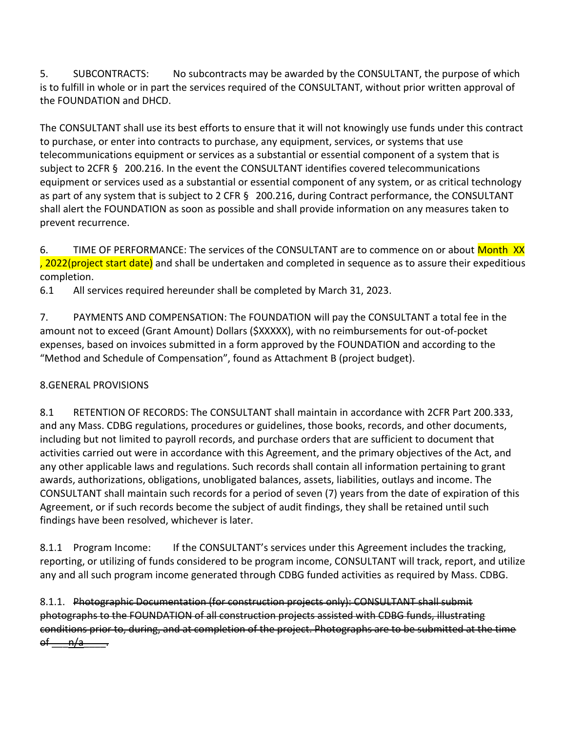5. SUBCONTRACTS: No subcontracts may be awarded by the CONSULTANT, the purpose of which is to fulfill in whole or in part the services required of the CONSULTANT, without prior written approval of the FOUNDATION and DHCD.

The CONSULTANT shall use its best efforts to ensure that it will not knowingly use funds under this contract to purchase, or enter into contracts to purchase, any equipment, services, or systems that use telecommunications equipment or services as a substantial or essential component of a system that is subject to 2CFR § 200.216. In the event the CONSULTANT identifies covered telecommunications equipment or services used as a substantial or essential component of any system, or as critical technology as part of any system that is subject to 2 CFR § 200.216, during Contract performance, the CONSULTANT shall alert the FOUNDATION as soon as possible and shall provide information on any measures taken to prevent recurrence.

6. TIME OF PERFORMANCE: The services of the CONSULTANT are to commence on or about Month XX , 2022(project start date) and shall be undertaken and completed in sequence as to assure their expeditious completion.

6.1 All services required hereunder shall be completed by March 31, 2023.

7. PAYMENTS AND COMPENSATION: The FOUNDATION will pay the CONSULTANT a total fee in the amount not to exceed (Grant Amount) Dollars (\$XXXXX), with no reimbursements for out-of-pocket expenses, based on invoices submitted in a form approved by the FOUNDATION and according to the "Method and Schedule of Compensation", found as Attachment B (project budget).

## 8.GENERAL PROVISIONS

8.1 RETENTION OF RECORDS: The CONSULTANT shall maintain in accordance with 2CFR Part 200.333, and any Mass. CDBG regulations, procedures or guidelines, those books, records, and other documents, including but not limited to payroll records, and purchase orders that are sufficient to document that activities carried out were in accordance with this Agreement, and the primary objectives of the Act, and any other applicable laws and regulations. Such records shall contain all information pertaining to grant awards, authorizations, obligations, unobligated balances, assets, liabilities, outlays and income. The CONSULTANT shall maintain such records for a period of seven (7) years from the date of expiration of this Agreement, or if such records become the subject of audit findings, they shall be retained until such findings have been resolved, whichever is later.

8.1.1 Program Income: If the CONSULTANT's services under this Agreement includes the tracking, reporting, or utilizing of funds considered to be program income, CONSULTANT will track, report, and utilize any and all such program income generated through CDBG funded activities as required by Mass. CDBG.

8.1.1. Photographic Documentation (for construction projects only): CONSULTANT shall submit photographs to the FOUNDATION of all construction projects assisted with CDBG funds, illustrating conditions prior to, during, and at completion of the project. Photographs are to be submitted at the time  $-\mathsf{n}/\mathsf{a}-$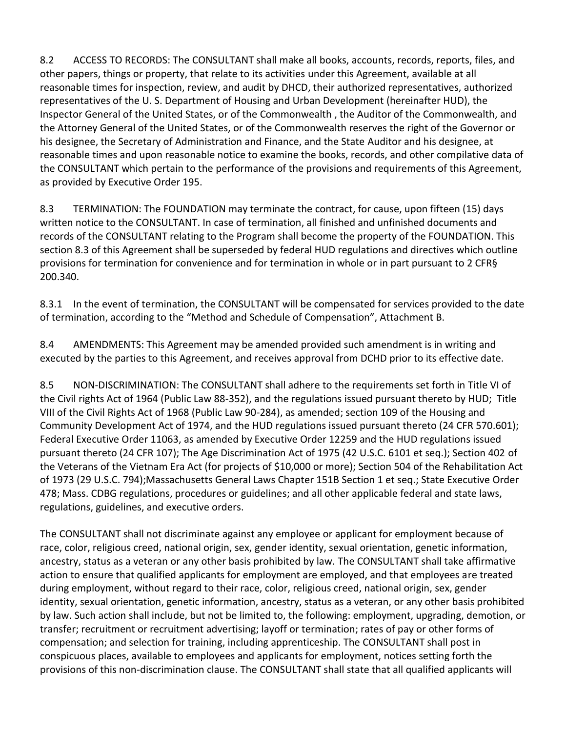8.2 ACCESS TO RECORDS: The CONSULTANT shall make all books, accounts, records, reports, files, and other papers, things or property, that relate to its activities under this Agreement, available at all reasonable times for inspection, review, and audit by DHCD, their authorized representatives, authorized representatives of the U. S. Department of Housing and Urban Development (hereinafter HUD), the Inspector General of the United States, or of the Commonwealth , the Auditor of the Commonwealth, and the Attorney General of the United States, or of the Commonwealth reserves the right of the Governor or his designee, the Secretary of Administration and Finance, and the State Auditor and his designee, at reasonable times and upon reasonable notice to examine the books, records, and other compilative data of the CONSULTANT which pertain to the performance of the provisions and requirements of this Agreement, as provided by Executive Order 195.

8.3 TERMINATION: The FOUNDATION may terminate the contract, for cause, upon fifteen (15) days written notice to the CONSULTANT. In case of termination, all finished and unfinished documents and records of the CONSULTANT relating to the Program shall become the property of the FOUNDATION. This section 8.3 of this Agreement shall be superseded by federal HUD regulations and directives which outline provisions for termination for convenience and for termination in whole or in part pursuant to 2 CFR§ 200.340.

8.3.1 In the event of termination, the CONSULTANT will be compensated for services provided to the date of termination, according to the "Method and Schedule of Compensation", Attachment B.

8.4 AMENDMENTS: This Agreement may be amended provided such amendment is in writing and executed by the parties to this Agreement, and receives approval from DCHD prior to its effective date.

8.5 NON-DISCRIMINATION: The CONSULTANT shall adhere to the requirements set forth in Title VI of the Civil rights Act of 1964 (Public Law 88-352), and the regulations issued pursuant thereto by HUD; Title VIII of the Civil Rights Act of 1968 (Public Law 90-284), as amended; section 109 of the Housing and Community Development Act of 1974, and the HUD regulations issued pursuant thereto (24 CFR 570.601); Federal Executive Order 11063, as amended by Executive Order 12259 and the HUD regulations issued pursuant thereto (24 CFR 107); The Age Discrimination Act of 1975 (42 U.S.C. 6101 et seq.); Section 402 of the Veterans of the Vietnam Era Act (for projects of \$10,000 or more); Section 504 of the Rehabilitation Act of 1973 (29 U.S.C. 794);Massachusetts General Laws Chapter 151B Section 1 et seq.; State Executive Order 478; Mass. CDBG regulations, procedures or guidelines; and all other applicable federal and state laws, regulations, guidelines, and executive orders.

The CONSULTANT shall not discriminate against any employee or applicant for employment because of race, color, religious creed, national origin, sex, gender identity, sexual orientation, genetic information, ancestry, status as a veteran or any other basis prohibited by law. The CONSULTANT shall take affirmative action to ensure that qualified applicants for employment are employed, and that employees are treated during employment, without regard to their race, color, religious creed, national origin, sex, gender identity, sexual orientation, genetic information, ancestry, status as a veteran, or any other basis prohibited by law. Such action shall include, but not be limited to, the following: employment, upgrading, demotion, or transfer; recruitment or recruitment advertising; layoff or termination; rates of pay or other forms of compensation; and selection for training, including apprenticeship. The CONSULTANT shall post in conspicuous places, available to employees and applicants for employment, notices setting forth the provisions of this non-discrimination clause. The CONSULTANT shall state that all qualified applicants will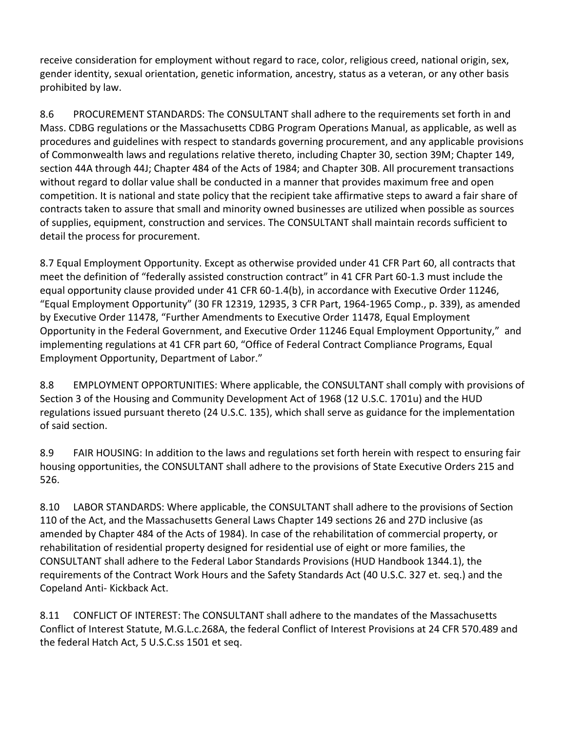receive consideration for employment without regard to race, color, religious creed, national origin, sex, gender identity, sexual orientation, genetic information, ancestry, status as a veteran, or any other basis prohibited by law.

8.6 PROCUREMENT STANDARDS: The CONSULTANT shall adhere to the requirements set forth in and Mass. CDBG regulations or the Massachusetts CDBG Program Operations Manual, as applicable, as well as procedures and guidelines with respect to standards governing procurement, and any applicable provisions of Commonwealth laws and regulations relative thereto, including Chapter 30, section 39M; Chapter 149, section 44A through 44J; Chapter 484 of the Acts of 1984; and Chapter 30B. All procurement transactions without regard to dollar value shall be conducted in a manner that provides maximum free and open competition. It is national and state policy that the recipient take affirmative steps to award a fair share of contracts taken to assure that small and minority owned businesses are utilized when possible as sources of supplies, equipment, construction and services. The CONSULTANT shall maintain records sufficient to detail the process for procurement.

8.7 Equal Employment Opportunity. Except as otherwise provided under 41 CFR Part 60, all contracts that meet the definition of "federally assisted construction contract" in 41 CFR Part 60-1.3 must include the equal opportunity clause provided under 41 CFR 60-1.4(b), in accordance with Executive Order 11246, "Equal Employment Opportunity" (30 FR 12319, 12935, 3 CFR Part, 1964-1965 Comp., p. 339), as amended by Executive Order 11478, "Further Amendments to Executive Order 11478, Equal Employment Opportunity in the Federal Government, and Executive Order 11246 Equal Employment Opportunity," and implementing regulations at 41 CFR part 60, "Office of Federal Contract Compliance Programs, Equal Employment Opportunity, Department of Labor."

8.8 EMPLOYMENT OPPORTUNITIES: Where applicable, the CONSULTANT shall comply with provisions of Section 3 of the Housing and Community Development Act of 1968 (12 U.S.C. 1701u) and the HUD regulations issued pursuant thereto (24 U.S.C. 135), which shall serve as guidance for the implementation of said section.

8.9 FAIR HOUSING: In addition to the laws and regulations set forth herein with respect to ensuring fair housing opportunities, the CONSULTANT shall adhere to the provisions of State Executive Orders 215 and 526.

8.10 LABOR STANDARDS: Where applicable, the CONSULTANT shall adhere to the provisions of Section 110 of the Act, and the Massachusetts General Laws Chapter 149 sections 26 and 27D inclusive (as amended by Chapter 484 of the Acts of 1984). In case of the rehabilitation of commercial property, or rehabilitation of residential property designed for residential use of eight or more families, the CONSULTANT shall adhere to the Federal Labor Standards Provisions (HUD Handbook 1344.1), the requirements of the Contract Work Hours and the Safety Standards Act (40 U.S.C. 327 et. seq.) and the Copeland Anti- Kickback Act.

8.11 CONFLICT OF INTEREST: The CONSULTANT shall adhere to the mandates of the Massachusetts Conflict of Interest Statute, M.G.L.c.268A, the federal Conflict of Interest Provisions at 24 CFR 570.489 and the federal Hatch Act, 5 U.S.C.ss 1501 et seq.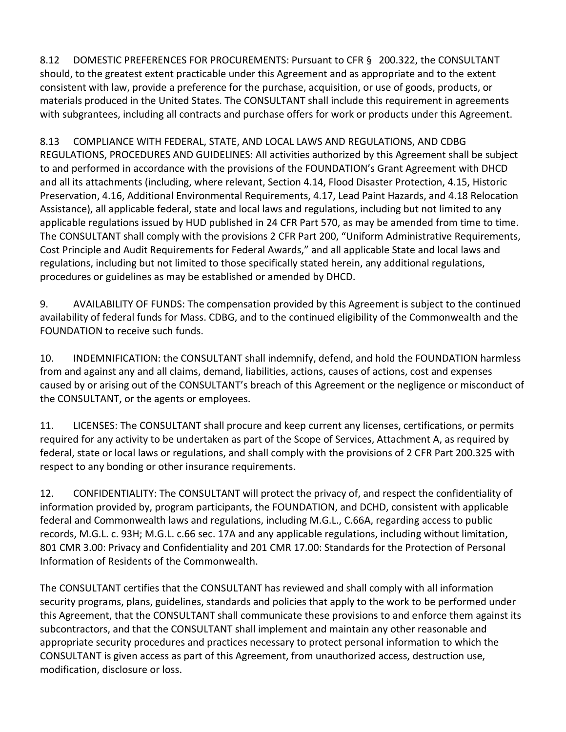8.12 DOMESTIC PREFERENCES FOR PROCUREMENTS: Pursuant to CFR § 200.322, the CONSULTANT should, to the greatest extent practicable under this Agreement and as appropriate and to the extent consistent with law, provide a preference for the purchase, acquisition, or use of goods, products, or materials produced in the United States. The CONSULTANT shall include this requirement in agreements with subgrantees, including all contracts and purchase offers for work or products under this Agreement.

8.13 COMPLIANCE WITH FEDERAL, STATE, AND LOCAL LAWS AND REGULATIONS, AND CDBG REGULATIONS, PROCEDURES AND GUIDELINES: All activities authorized by this Agreement shall be subject to and performed in accordance with the provisions of the FOUNDATION's Grant Agreement with DHCD and all its attachments (including, where relevant, Section 4.14, Flood Disaster Protection, 4.15, Historic Preservation, 4.16, Additional Environmental Requirements, 4.17, Lead Paint Hazards, and 4.18 Relocation Assistance), all applicable federal, state and local laws and regulations, including but not limited to any applicable regulations issued by HUD published in 24 CFR Part 570, as may be amended from time to time. The CONSULTANT shall comply with the provisions 2 CFR Part 200, "Uniform Administrative Requirements, Cost Principle and Audit Requirements for Federal Awards," and all applicable State and local laws and regulations, including but not limited to those specifically stated herein, any additional regulations, procedures or guidelines as may be established or amended by DHCD.

9. AVAILABILITY OF FUNDS: The compensation provided by this Agreement is subject to the continued availability of federal funds for Mass. CDBG, and to the continued eligibility of the Commonwealth and the FOUNDATION to receive such funds.

10. INDEMNIFICATION: the CONSULTANT shall indemnify, defend, and hold the FOUNDATION harmless from and against any and all claims, demand, liabilities, actions, causes of actions, cost and expenses caused by or arising out of the CONSULTANT's breach of this Agreement or the negligence or misconduct of the CONSULTANT, or the agents or employees.

11. LICENSES: The CONSULTANT shall procure and keep current any licenses, certifications, or permits required for any activity to be undertaken as part of the Scope of Services, Attachment A, as required by federal, state or local laws or regulations, and shall comply with the provisions of 2 CFR Part 200.325 with respect to any bonding or other insurance requirements.

12. CONFIDENTIALITY: The CONSULTANT will protect the privacy of, and respect the confidentiality of information provided by, program participants, the FOUNDATION, and DCHD, consistent with applicable federal and Commonwealth laws and regulations, including M.G.L., C.66A, regarding access to public records, M.G.L. c. 93H; M.G.L. c.66 sec. 17A and any applicable regulations, including without limitation, 801 CMR 3.00: Privacy and Confidentiality and 201 CMR 17.00: Standards for the Protection of Personal Information of Residents of the Commonwealth.

The CONSULTANT certifies that the CONSULTANT has reviewed and shall comply with all information security programs, plans, guidelines, standards and policies that apply to the work to be performed under this Agreement, that the CONSULTANT shall communicate these provisions to and enforce them against its subcontractors, and that the CONSULTANT shall implement and maintain any other reasonable and appropriate security procedures and practices necessary to protect personal information to which the CONSULTANT is given access as part of this Agreement, from unauthorized access, destruction use, modification, disclosure or loss.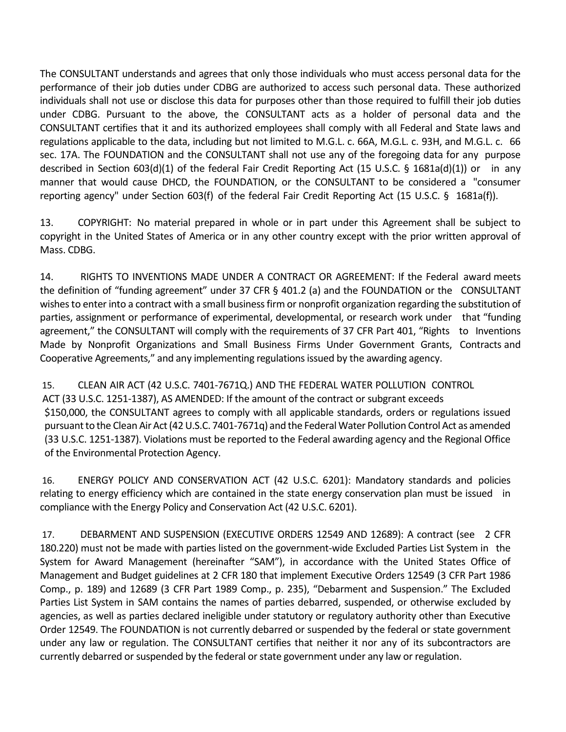The CONSULTANT understands and agrees that only those individuals who must access personal data for the performance of their job duties under CDBG are authorized to access such personal data. These authorized individuals shall not use or disclose this data for purposes other than those required to fulfill their job duties under CDBG. Pursuant to the above, the CONSULTANT acts as a holder of personal data and the CONSULTANT certifies that it and its authorized employees shall comply with all Federal and State laws and regulations applicable to the data, including but not limited to M.G.L. c. 66A, M.G.L. c. 93H, and M.G.L. c. 66 sec. 17A. The FOUNDATION and the CONSULTANT shall not use any of the foregoing data for any purpose described in Section 603(d)(1) of the federal Fair Credit Reporting Act (15 U.S.C. § 1681a(d)(1)) or in any manner that would cause DHCD, the FOUNDATION, or the CONSULTANT to be considered a "consumer reporting agency" under Section 603(f) of the federal Fair Credit Reporting Act (15 U.S.C. § 1681a(f)).

13. COPYRIGHT: No material prepared in whole or in part under this Agreement shall be subject to copyright in the United States of America or in any other country except with the prior written approval of Mass. CDBG.

14. RIGHTS TO INVENTIONS MADE UNDER A CONTRACT OR AGREEMENT: If the Federal award meets the definition of "funding agreement" under 37 CFR § 401.2 (a) and the FOUNDATION or the CONSULTANT wishesto enterinto a contract with a small businessfirm or nonprofit organization regarding the substitution of parties, assignment or performance of experimental, developmental, or research work under that "funding agreement," the CONSULTANT will comply with the requirements of 37 CFR Part 401, "Rights to Inventions Made by Nonprofit Organizations and Small Business Firms Under Government Grants, Contracts and Cooperative Agreements," and any implementing regulationsissued by the awarding agency.

15. CLEAN AIR ACT (42 U.S.C. 7401-7671Q.) AND THE FEDERAL WATER POLLUTION CONTROL ACT (33 U.S.C. 1251-1387), AS AMENDED: If the amount of the contract or subgrant exceeds \$150,000, the CONSULTANT agrees to comply with all applicable standards, orders or regulations issued pursuant to the Clean Air Act (42 U.S.C. 7401-7671q) and the Federal Water Pollution Control Act as amended (33 U.S.C. 1251-1387). Violations must be reported to the Federal awarding agency and the Regional Office of the Environmental Protection Agency.

16. ENERGY POLICY AND CONSERVATION ACT (42 U.S.C. 6201): Mandatory standards and policies relating to energy efficiency which are contained in the state energy conservation plan must be issued in compliance with the Energy Policy and Conservation Act (42 U.S.C. 6201).

17. DEBARMENT AND SUSPENSION (EXECUTIVE ORDERS 12549 AND 12689): A contract (see 2 CFR 180.220) must not be made with parties listed on the government-wide Excluded Parties List System in the System for Award Management (hereinafter "SAM"), in accordance with the United States Office of Management and Budget guidelines at 2 CFR 180 that implement Executive Orders 12549 (3 CFR Part 1986 Comp., p. 189) and 12689 (3 CFR Part 1989 Comp., p. 235), "Debarment and Suspension." The Excluded Parties List System in SAM contains the names of parties debarred, suspended, or otherwise excluded by agencies, as well as parties declared ineligible under statutory or regulatory authority other than Executive Order 12549. The FOUNDATION is not currently debarred or suspended by the federal or state government under any law or regulation. The CONSULTANT certifies that neither it nor any of its subcontractors are currently debarred or suspended by the federal or state government under any law or regulation.